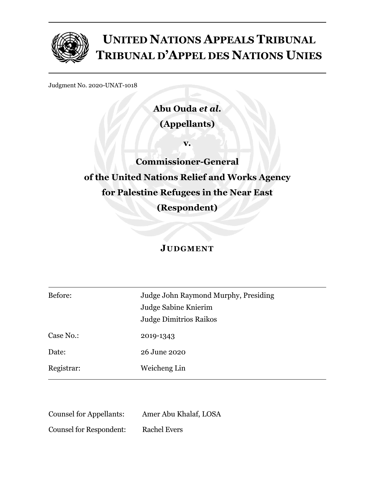

# **UNITED NATIONS APPEALS TRIBUNAL TRIBUNAL D'APPEL DES NATIONS UNIES**

Judgment No. 2020-UNAT-1018

**Abu Ouda** *et al***. (Appellants)**

**v.**

**Commissioner-General of the United Nations Relief and Works Agency for Palestine Refugees in the Near East (Respondent)**

# **JUDGMENT**

| Before:    | Judge John Raymond Murphy, Presiding |
|------------|--------------------------------------|
|            | Judge Sabine Knierim                 |
|            | <b>Judge Dimitrios Raikos</b>        |
| Case No.:  | 2019-1343                            |
| Date:      | 26 June 2020                         |
| Registrar: | Weicheng Lin                         |

| <b>Counsel for Appellants:</b> | Amer Abu Khalaf, LOSA |
|--------------------------------|-----------------------|
| <b>Counsel for Respondent:</b> | <b>Rachel Evers</b>   |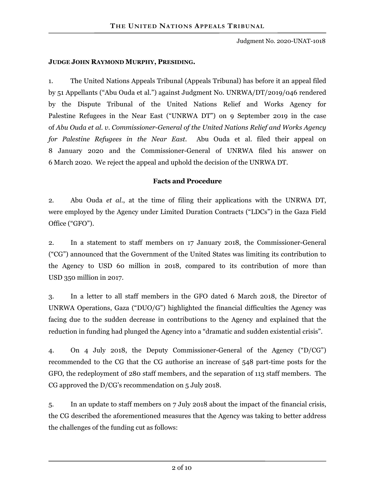# **JUDGE JOHN RAYMOND MURPHY, PRESIDING.**

1. The United Nations Appeals Tribunal (Appeals Tribunal) has before it an appeal filed by 51 Appellants ("Abu Ouda et al.") against Judgment No. UNRWA/DT/2019/046 rendered by the Dispute Tribunal of the United Nations Relief and Works Agency for Palestine Refugees in the Near East ("UNRWA DT") on 9 September 2019 in the case of *Abu Ouda et al. v. Commissioner-General of the United Nations Relief and Works Agency for Palestine Refugees in the Near East*. Abu Ouda et al. filed their appeal on 8 January 2020 and the Commissioner-General of UNRWA filed his answer on 6 March 2020. We reject the appeal and uphold the decision of the UNRWA DT.

# **Facts and Procedure**

2. Abu Ouda *et al.*, at the time of filing their applications with the UNRWA DT, were employed by the Agency under Limited Duration Contracts ("LDCs") in the Gaza Field Office ("GFO").

2. In a statement to staff members on 17 January 2018, the Commissioner-General ("CG") announced that the Government of the United States was limiting its contribution to the Agency to USD 60 million in 2018, compared to its contribution of more than USD 350 million in 2017.

3. In a letter to all staff members in the GFO dated 6 March 2018, the Director of UNRWA Operations, Gaza ("DUO/G") highlighted the financial difficulties the Agency was facing due to the sudden decrease in contributions to the Agency and explained that the reduction in funding had plunged the Agency into a "dramatic and sudden existential crisis".

4. On 4 July 2018, the Deputy Commissioner-General of the Agency ("D/CG") recommended to the CG that the CG authorise an increase of 548 part-time posts for the GFO, the redeployment of 280 staff members, and the separation of 113 staff members. The CG approved the D/CG's recommendation on 5 July 2018.

5. In an update to staff members on 7 July 2018 about the impact of the financial crisis, the CG described the aforementioned measures that the Agency was taking to better address the challenges of the funding cut as follows: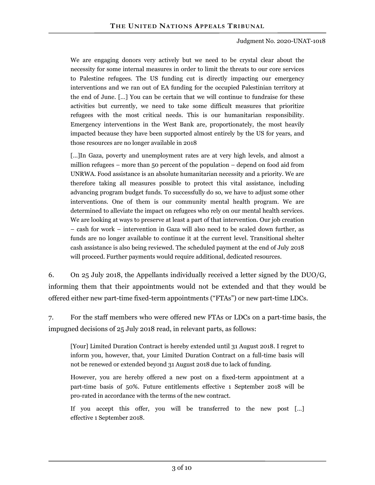We are engaging donors very actively but we need to be crystal clear about the necessity for some internal measures in order to limit the threats to our core services to Palestine refugees. The US funding cut is directly impacting our emergency interventions and we ran out of EA funding for the occupied Palestinian territory at the end of June. […] You can be certain that we will continue to fundraise for these activities but currently, we need to take some difficult measures that prioritize refugees with the most critical needs. This is our humanitarian responsibility. Emergency interventions in the West Bank are, proportionately, the most heavily impacted because they have been supported almost entirely by the US for years, and those resources are no longer available in 2018

[...]In Gaza, poverty and unemployment rates are at very high levels, and almost a million refugees – more than 50 percent of the population – depend on food aid from UNRWA. Food assistance is an absolute humanitarian necessity and a priority. We are therefore taking all measures possible to protect this vital assistance, including advancing program budget funds. To successfully do so, we have to adjust some other interventions. One of them is our community mental health program. We are determined to alleviate the impact on refugees who rely on our mental health services. We are looking at ways to preserve at least a part of that intervention. Our job creation – cash for work – intervention in Gaza will also need to be scaled down further, as funds are no longer available to continue it at the current level. Transitional shelter cash assistance is also being reviewed. The scheduled payment at the end of July 2018 will proceed. Further payments would require additional, dedicated resources.

6. On 25 July 2018, the Appellants individually received a letter signed by the DUO/G, informing them that their appointments would not be extended and that they would be offered either new part-time fixed-term appointments ("FTAs") or new part-time LDCs.

7. For the staff members who were offered new FTAs or LDCs on a part-time basis, the impugned decisions of 25 July 2018 read, in relevant parts, as follows:

[Your] Limited Duration Contract is hereby extended until 31 August 2018. I regret to inform you, however, that, your Limited Duration Contract on a full-time basis will not be renewed or extended beyond 31 August 2018 due to lack of funding.

However, you are hereby offered a new post on a fixed-term appointment at a part-time basis of 50%. Future entitlements effective 1 September 2018 will be pro-rated in accordance with the terms of the new contract.

If you accept this offer, you will be transferred to the new post […] effective 1 September 2018.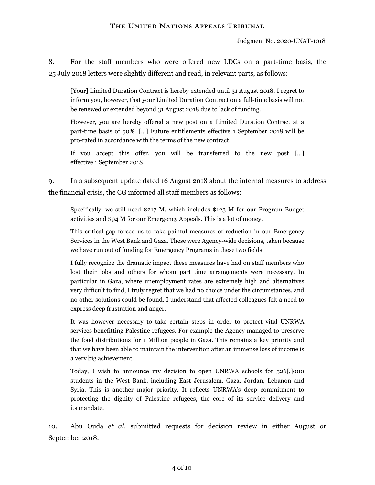8. For the staff members who were offered new LDCs on a part-time basis, the 25 July 2018 letters were slightly different and read, in relevant parts, as follows:

[Your] Limited Duration Contract is hereby extended until 31 August 2018. I regret to inform you, however, that your Limited Duration Contract on a full-time basis will not be renewed or extended beyond 31 August 2018 due to lack of funding.

However, you are hereby offered a new post on a Limited Duration Contract at a part-time basis of 50%. […] Future entitlements effective 1 September 2018 will be pro-rated in accordance with the terms of the new contract.

If you accept this offer, you will be transferred to the new post […] effective 1 September 2018.

9. In a subsequent update dated 16 August 2018 about the internal measures to address the financial crisis, the CG informed all staff members as follows:

Specifically, we still need \$217 M, which includes \$123 M for our Program Budget activities and \$94 M for our Emergency Appeals. This is a lot of money.

This critical gap forced us to take painful measures of reduction in our Emergency Services in the West Bank and Gaza. These were Agency-wide decisions, taken because we have run out of funding for Emergency Programs in these two fields.

I fully recognize the dramatic impact these measures have had on staff members who lost their jobs and others for whom part time arrangements were necessary. In particular in Gaza, where unemployment rates are extremely high and alternatives very difficult to find, I truly regret that we had no choice under the circumstances, and no other solutions could be found. I understand that affected colleagues felt a need to express deep frustration and anger.

It was however necessary to take certain steps in order to protect vital UNRWA services benefitting Palestine refugees. For example the Agency managed to preserve the food distributions for 1 Million people in Gaza. This remains a key priority and that we have been able to maintain the intervention after an immense loss of income is a very big achievement.

Today, I wish to announce my decision to open UNRWA schools for 526[,]000 students in the West Bank, including East Jerusalem, Gaza, Jordan, Lebanon and Syria. This is another major priority. It reflects UNRWA's deep commitment to protecting the dignity of Palestine refugees, the core of its service delivery and its mandate.

10. Abu Ouda *et al*. submitted requests for decision review in either August or September 2018.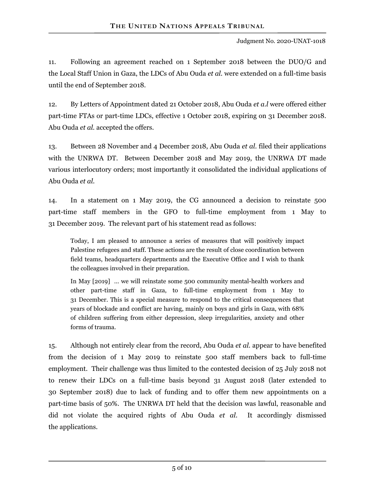11. Following an agreement reached on 1 September 2018 between the DUO/G and the Local Staff Union in Gaza, the LDCs of Abu Ouda *et al.* were extended on a full-time basis until the end of September 2018.

12. By Letters of Appointment dated 21 October 2018, Abu Ouda *et a.l* were offered either part-time FTAs or part-time LDCs, effective 1 October 2018, expiring on 31 December 2018. Abu Ouda *et al.* accepted the offers.

13. Between 28 November and 4 December 2018, Abu Ouda *et al.* filed their applications with the UNRWA DT. Between December 2018 and May 2019, the UNRWA DT made various interlocutory orders; most importantly it consolidated the individual applications of Abu Ouda *et al*.

14. In a statement on 1 May 2019, the CG announced a decision to reinstate 500 part-time staff members in the GFO to full-time employment from 1 May to 31 December 2019. The relevant part of his statement read as follows:

Today, I am pleased to announce a series of measures that will positively impact Palestine refugees and staff. These actions are the result of close coordination between field teams, headquarters departments and the Executive Office and I wish to thank the colleagues involved in their preparation.

In May [2019] … we will reinstate some 500 community mental-health workers and other part-time staff in Gaza, to full-time employment from 1 May to 31 December. This is a special measure to respond to the critical consequences that years of blockade and conflict are having, mainly on boys and girls in Gaza, with 68% of children suffering from either depression, sleep irregularities, anxiety and other forms of trauma.

15. Although not entirely clear from the record, Abu Ouda *et al*. appear to have benefited from the decision of 1 May 2019 to reinstate 500 staff members back to full-time employment. Their challenge was thus limited to the contested decision of 25 July 2018 not to renew their LDCs on a full-time basis beyond 31 August 2018 (later extended to 30 September 2018) due to lack of funding and to offer them new appointments on a part-time basis of 50%. The UNRWA DT held that the decision was lawful, reasonable and did not violate the acquired rights of Abu Ouda *et al*. It accordingly dismissed the applications.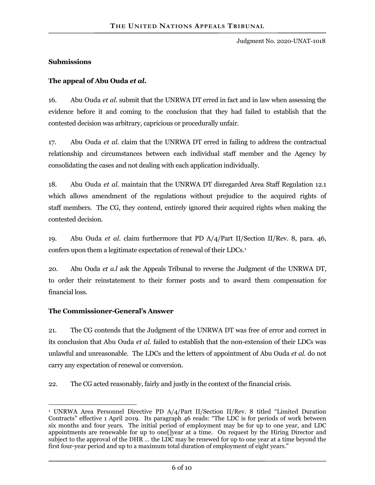#### **Submissions**

# **The appeal of Abu Ouda** *et al***.**

16. Abu Ouda *et al*. submit that the UNRWA DT erred in fact and in law when assessing the evidence before it and coming to the conclusion that they had failed to establish that the contested decision was arbitrary, capricious or procedurally unfair.

17. Abu Ouda *et al.* claim that the UNRWA DT erred in failing to address the contractual relationship and circumstances between each individual staff member and the Agency by consolidating the cases and not dealing with each application individually.

18. Abu Ouda *et al*. maintain that the UNRWA DT disregarded Area Staff Regulation 12.1 which allows amendment of the regulations without prejudice to the acquired rights of staff members. The CG, they contend, entirely ignored their acquired rights when making the contested decision.

19. Abu Ouda *et al.* claim furthermore that PD A/4/Part II/Section II/Rev. 8, para. 46, confers upon them a legitimate expectation of renewal of their LDCs.<sup>[1](#page-5-0)</sup>

20. Abu Ouda *et a.l* ask the Appeals Tribunal to reverse the Judgment of the UNRWA DT, to order their reinstatement to their former posts and to award them compensation for financial loss.

#### **The Commissioner-General's Answer**

21. The CG contends that the Judgment of the UNRWA DT was free of error and correct in its conclusion that Abu Ouda *et al.* failed to establish that the non-extension of their LDCs was unlawful and unreasonable. The LDCs and the letters of appointment of Abu Ouda *et al*. do not carry any expectation of renewal or conversion.

22. The CG acted reasonably, fairly and justly in the context of the financial crisis.

<span id="page-5-0"></span> $\overline{a}$ <sup>1</sup> UNRWA Area Personnel Directive PD A/4/Part II/Section II/Rev. 8 titled "Limited Duration Contracts" effective 1 April 2019. Its paragraph 46 reads: "The LDC is for periods of work between six months and four years. The initial period of employment may be for up to one year, and LDC appointments are renewable for up to one[]year at a time. On request by the Hiring Director and subject to the approval of the DHR … the LDC may be renewed for up to one year at a time beyond the first four-year period and up to a maximum total duration of employment of eight years."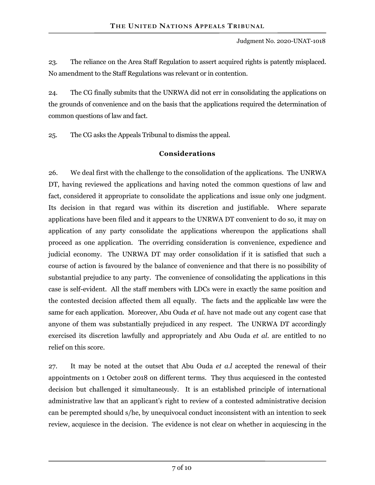23. The reliance on the Area Staff Regulation to assert acquired rights is patently misplaced. No amendment to the Staff Regulations was relevant or in contention.

24. The CG finally submits that the UNRWA did not err in consolidating the applications on the grounds of convenience and on the basis that the applications required the determination of common questions of law and fact.

25. The CG asks the Appeals Tribunal to dismiss the appeal.

# **Considerations**

26. We deal first with the challenge to the consolidation of the applications. The UNRWA DT, having reviewed the applications and having noted the common questions of law and fact, considered it appropriate to consolidate the applications and issue only one judgment. Its decision in that regard was within its discretion and justifiable. Where separate applications have been filed and it appears to the UNRWA DT convenient to do so, it may on application of any party consolidate the applications whereupon the applications shall proceed as one application. The overriding consideration is convenience, expedience and judicial economy. The UNRWA DT may order consolidation if it is satisfied that such a course of action is favoured by the balance of convenience and that there is no possibility of substantial prejudice to any party. The convenience of consolidating the applications in this case is self-evident. All the staff members with LDCs were in exactly the same position and the contested decision affected them all equally. The facts and the applicable law were the same for each application. Moreover, Abu Ouda *et al.* have not made out any cogent case that anyone of them was substantially prejudiced in any respect. The UNRWA DT accordingly exercised its discretion lawfully and appropriately and Abu Ouda *et al*. are entitled to no relief on this score.

27. It may be noted at the outset that Abu Ouda *et a.l* accepted the renewal of their appointments on 1 October 2018 on different terms. They thus acquiesced in the contested decision but challenged it simultaneously. It is an established principle of international administrative law that an applicant's right to review of a contested administrative decision can be perempted should s/he, by unequivocal conduct inconsistent with an intention to seek review, acquiesce in the decision. The evidence is not clear on whether in acquiescing in the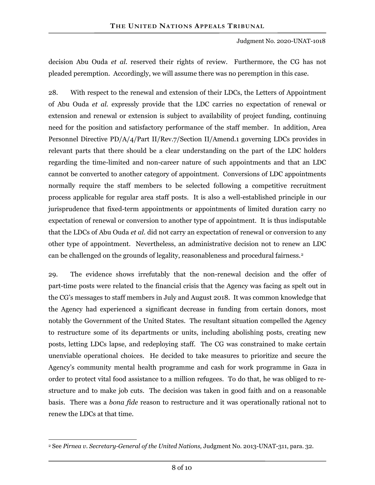decision Abu Ouda *et al.* reserved their rights of review. Furthermore, the CG has not pleaded peremption. Accordingly, we will assume there was no peremption in this case.

28. With respect to the renewal and extension of their LDCs, the Letters of Appointment of Abu Ouda *et al.* expressly provide that the LDC carries no expectation of renewal or extension and renewal or extension is subject to availability of project funding, continuing need for the position and satisfactory performance of the staff member. In addition, Area Personnel Directive PD/A/4/Part II/Rev.7/Section II/Amend.1 governing LDCs provides in relevant parts that there should be a clear understanding on the part of the LDC holders regarding the time-limited and non-career nature of such appointments and that an LDC cannot be converted to another category of appointment. Conversions of LDC appointments normally require the staff members to be selected following a competitive recruitment process applicable for regular area staff posts. It is also a well-established principle in our jurisprudence that fixed-term appointments or appointments of limited duration carry no expectation of renewal or conversion to another type of appointment. It is thus indisputable that the LDCs of Abu Ouda *et al.* did not carry an expectation of renewal or conversion to any other type of appointment. Nevertheless, an administrative decision not to renew an LDC can be challenged on the grounds of legality, reasonableness and procedural fairness.<sup>[2](#page-7-0)</sup>

29. The evidence shows irrefutably that the non-renewal decision and the offer of part-time posts were related to the financial crisis that the Agency was facing as spelt out in the CG's messages to staff members in July and August 2018. It was common knowledge that the Agency had experienced a significant decrease in funding from certain donors, most notably the Government of the United States. The resultant situation compelled the Agency to restructure some of its departments or units, including abolishing posts, creating new posts, letting LDCs lapse, and redeploying staff. The CG was constrained to make certain unenviable operational choices. He decided to take measures to prioritize and secure the Agency's community mental health programme and cash for work programme in Gaza in order to protect vital food assistance to a million refugees. To do that, he was obliged to restructure and to make job cuts. The decision was taken in good faith and on a reasonable basis. There was a *bona fide* reason to restructure and it was operationally rational not to renew the LDCs at that time.

<span id="page-7-0"></span> $\overline{a}$ <sup>2</sup> See *Pirnea v. Secretary-General of the United Nations,* Judgment No. 2013-UNAT-311, para. 32.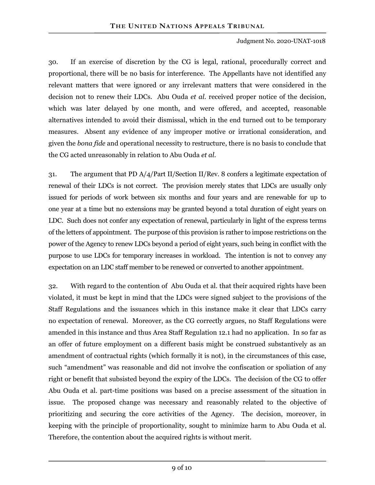30. If an exercise of discretion by the CG is legal, rational, procedurally correct and proportional, there will be no basis for interference. The Appellants have not identified any relevant matters that were ignored or any irrelevant matters that were considered in the decision not to renew their LDCs. Abu Ouda *et al.* received proper notice of the decision, which was later delayed by one month, and were offered, and accepted, reasonable alternatives intended to avoid their dismissal, which in the end turned out to be temporary measures. Absent any evidence of any improper motive or irrational consideration, and given the *bona fide* and operational necessity to restructure, there is no basis to conclude that the CG acted unreasonably in relation to Abu Ouda *et al.*

31. The argument that PD A/4/Part II/Section II/Rev. 8 confers a legitimate expectation of renewal of their LDCs is not correct. The provision merely states that LDCs are usually only issued for periods of work between six months and four years and are renewable for up to one year at a time but no extensions may be granted beyond a total duration of eight years on LDC. Such does not confer any expectation of renewal, particularly in light of the express terms of the letters of appointment. The purpose of this provision is rather to impose restrictions on the power of the Agency to renew LDCs beyond a period of eight years, such being in conflict with the purpose to use LDCs for temporary increases in workload. The intention is not to convey any expectation on an LDC staff member to be renewed or converted to another appointment.

32. With regard to the contention of Abu Ouda et al. that their acquired rights have been violated, it must be kept in mind that the LDCs were signed subject to the provisions of the Staff Regulations and the issuances which in this instance make it clear that LDCs carry no expectation of renewal. Moreover, as the CG correctly argues, no Staff Regulations were amended in this instance and thus Area Staff Regulation 12.1 had no application. In so far as an offer of future employment on a different basis might be construed substantively as an amendment of contractual rights (which formally it is not), in the circumstances of this case, such "amendment" was reasonable and did not involve the confiscation or spoliation of any right or benefit that subsisted beyond the expiry of the LDCs. The decision of the CG to offer Abu Ouda et al. part-time positions was based on a precise assessment of the situation in issue. The proposed change was necessary and reasonably related to the objective of prioritizing and securing the core activities of the Agency. The decision, moreover, in keeping with the principle of proportionality, sought to minimize harm to Abu Ouda et al. Therefore, the contention about the acquired rights is without merit.